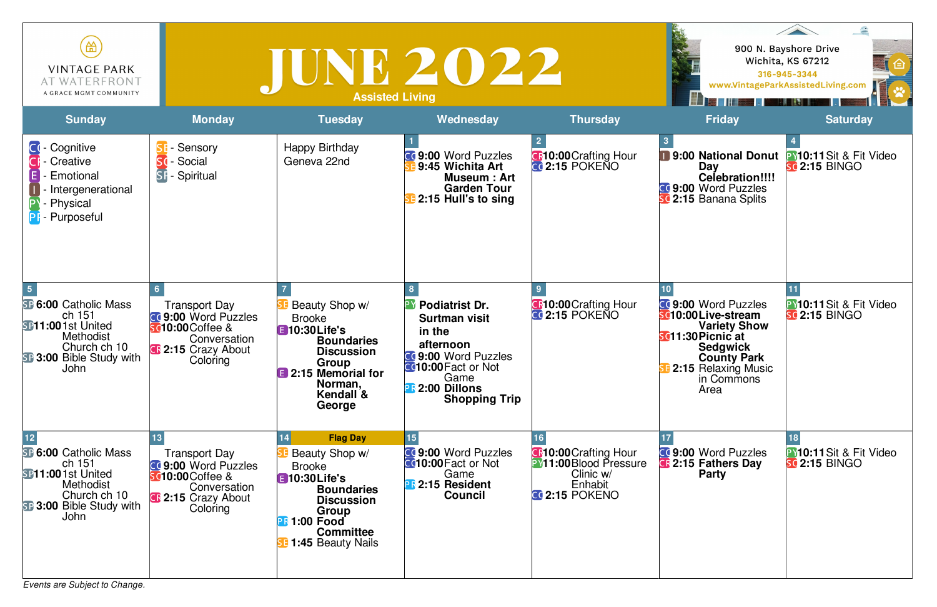*Events are Subject to Change.*

| 笽<br><b>VINTAGE PARK</b><br>AT WATERFRONT<br>A GRACE MGMT COMMUNITY                                                                                                   |                                                                                                                                          | IUNE 2022<br><b>Assisted Living</b>                                                                                                                                                   |                                                                                                                                                                                            |                                                                                                                 |                                                                                                                                                                                            | 900 N. Bayshore Drive<br>Wichita, KS 67212<br>臼<br>316-945-3344<br>www.VintageParkAssistedLiving.com |
|-----------------------------------------------------------------------------------------------------------------------------------------------------------------------|------------------------------------------------------------------------------------------------------------------------------------------|---------------------------------------------------------------------------------------------------------------------------------------------------------------------------------------|--------------------------------------------------------------------------------------------------------------------------------------------------------------------------------------------|-----------------------------------------------------------------------------------------------------------------|--------------------------------------------------------------------------------------------------------------------------------------------------------------------------------------------|------------------------------------------------------------------------------------------------------|
| <b>Sunday</b>                                                                                                                                                         | <b>Monday</b>                                                                                                                            | <b>Tuesday</b>                                                                                                                                                                        | Wednesday                                                                                                                                                                                  | <b>Thursday</b>                                                                                                 | <b>Friday</b>                                                                                                                                                                              | <b>Saturday</b>                                                                                      |
| <b>CI-Cognitive</b><br><b>CF</b> - Creative<br><b>Emotional</b><br>Intergenerational<br>- Physical<br><b>PF</b> - Purposeful                                          | Sensory<br>Social<br><b>Sd</b><br><b>SF-Spiritual</b>                                                                                    | Happy Birthday<br>Geneva 22nd                                                                                                                                                         | <b>CO 9:00 Word Puzzles</b><br>9:45 Wichita Art<br>Museum: Art<br><b>Garden Tour</b><br>2:15 Hull's to sing                                                                                | <b>CF10:00 Crafting Hour</b><br>$CG$ 2:15 POKENO                                                                | 9:00 National Donut<br>Day<br>Celebration!!!!<br><b>CC 9:00 Word Puzzles</b><br><b>SC 2:15 Banana Splits</b>                                                                               | <b>PY10:11Sit &amp; Fit Video</b><br><b>sc 2:15 BINGO</b>                                            |
| <b>SP 6:00 Catholic Mass</b><br>ch 151<br><b>SP11:001st United</b><br><b>Methodist</b><br>Church ch 10<br><b>SP 3:00 Bible Study with</b><br><b>John</b>              | <b>Transport Day</b><br><b>CC 9:00 Word Puzzles</b><br><b>sc10:00</b> Coffee &<br>Conversation<br><b>C</b> :15 Crazy About<br>Coloring   | Beauty Shop w/<br><b>Brooke</b><br><b>E</b> 10:30 Life's<br><b>Boundaries</b><br><b>Discussion</b><br>Group<br>2:15 Memorial for<br>Norman,<br>Kendall &<br>George                    | <b>Podiatrist Dr.</b><br><b>Surtman visit</b><br>in the<br>afternoon<br><b>CC 9:00 Word Puzzles</b><br><b>C</b> 10:00 Fact or Not<br>Game<br><b>R</b> 2:00 Dillons<br><b>Shopping Trip</b> | <b>C</b> :00 Crafting Hour<br><b>CC 2:15 POKENO</b>                                                             | CC 9:00 Word Puzzles<br>sc10:00Live-stream<br><b>Variety Show</b><br><b>SC11:30 Picnic at</b><br><b>Sedgwick</b><br><b>County Park</b><br><b>2:15 Relaxing Music</b><br>in Commons<br>Area | PY10:11 Sit & Fit Video<br><b>SC 2:15 BINGO</b>                                                      |
| $12 \overline{ }$<br><b>SP 6:00 Catholic Mass</b><br>ch 151<br><b>SP11:001st United</b><br>Methodist<br>Church ch 10<br><b>B:3:00 Bible Study with</b><br><b>John</b> | <b>Transport Day</b><br><b>CO 9:00 Word Puzzles</b><br><b>sc10:00</b> Coffee &<br>Conversation<br><b>CF</b> 2:15 Crazy About<br>Coloring | <b>Flag Day</b><br>Beauty Shop w/<br>Brooke<br><b>E</b> 10:30 Life's<br><b>Boundaries</b><br><b>Discussion</b><br>Group<br><b>R1:00 Food</b><br><b>Committee</b><br>1:45 Beauty Nails | <b>CC 9:00 Word Puzzles</b><br><b>C010:00 Fact or Not</b><br>Game<br><b>PR</b> 2:15 Resident<br><b>Council</b>                                                                             | <b>C</b> :10:00 Crafting Hour<br><b>PY11:00</b> Blood Pressure<br>Clinic w/<br>Enhabit<br><b>CC 2:15 POKENO</b> | <b>CC 9:00 Word Puzzles</b><br><b>C</b> 2:15 Fathers Day<br><b>Party</b>                                                                                                                   | <b>PY10:11Sit &amp; Fit Video</b><br><b>sc</b> 2:15 BINGO                                            |